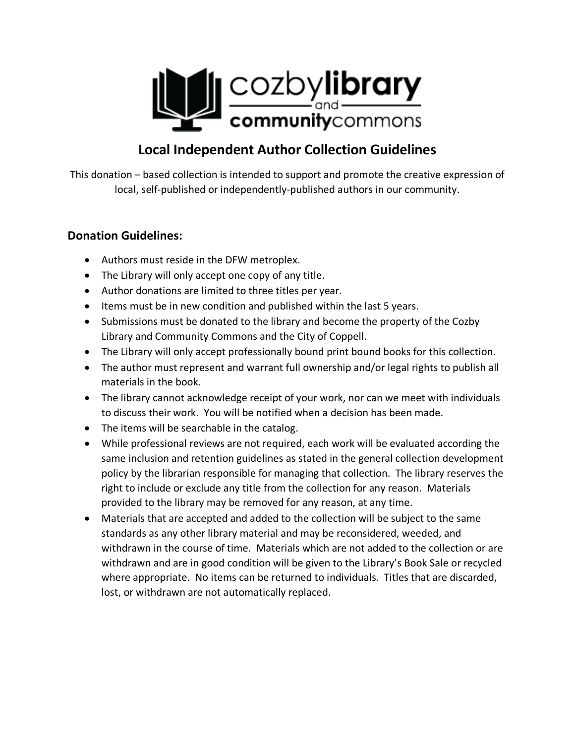

## **Local Independent Author Collection Guidelines**

This donation – based collection is intended to support and promote the creative expression of local, self-published or independently-published authors in our community.

## **Donation Guidelines:**

- Authors must reside in the DFW metroplex.
- The Library will only accept one copy of any title.
- Author donations are limited to three titles per year.
- Items must be in new condition and published within the last 5 years.
- Submissions must be donated to the library and become the property of the Cozby Library and Community Commons and the City of Coppell.
- The Library will only accept professionally bound print bound books for this collection.
- The author must represent and warrant full ownership and/or legal rights to publish all materials in the book.
- The library cannot acknowledge receipt of your work, nor can we meet with individuals to discuss their work. You will be notified when a decision has been made.
- The items will be searchable in the catalog.
- While professional reviews are not required, each work will be evaluated according the same inclusion and retention guidelines as stated in the general collection development policy by the librarian responsible for managing that collection. The library reserves the right to include or exclude any title from the collection for any reason. Materials provided to the library may be removed for any reason, at any time.
- Materials that are accepted and added to the collection will be subject to the same standards as any other library material and may be reconsidered, weeded, and withdrawn in the course of time. Materials which are not added to the collection or are withdrawn and are in good condition will be given to the Library's Book Sale or recycled where appropriate. No items can be returned to individuals. Titles that are discarded, lost, or withdrawn are not automatically replaced.